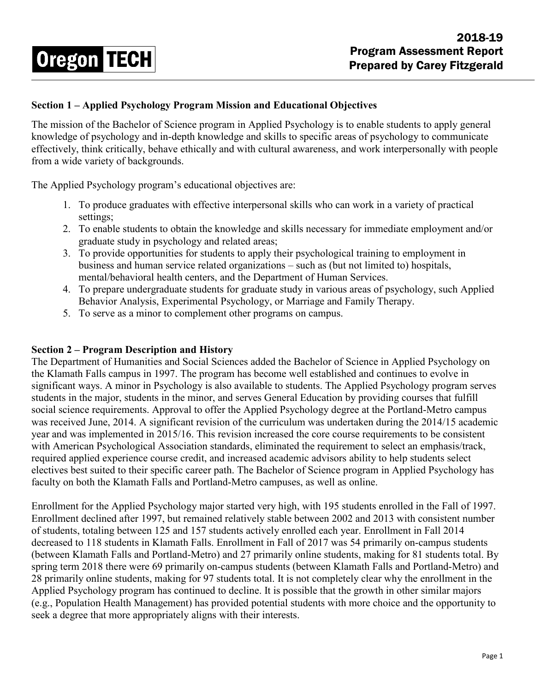# 2018-19 Program Assessment Report Prepared by Carey Fitzgerald

## **Section 1 – Applied Psychology Program Mission and Educational Objectives**

The mission of the Bachelor of Science program in Applied Psychology is to enable students to apply general knowledge of psychology and in-depth knowledge and skills to specific areas of psychology to communicate effectively, think critically, behave ethically and with cultural awareness, and work interpersonally with people from a wide variety of backgrounds.

The Applied Psychology program's educational objectives are:

**Oregon TECH** 

- 1. To produce graduates with effective interpersonal skills who can work in a variety of practical settings;
- 2. To enable students to obtain the knowledge and skills necessary for immediate employment and/or graduate study in psychology and related areas;
- 3. To provide opportunities for students to apply their psychological training to employment in business and human service related organizations – such as (but not limited to) hospitals, mental/behavioral health centers, and the Department of Human Services.
- 4. To prepare undergraduate students for graduate study in various areas of psychology, such Applied Behavior Analysis, Experimental Psychology, or Marriage and Family Therapy.
- 5. To serve as a minor to complement other programs on campus.

### **Section 2 – Program Description and History**

The Department of Humanities and Social Sciences added the Bachelor of Science in Applied Psychology on the Klamath Falls campus in 1997. The program has become well established and continues to evolve in significant ways. A minor in Psychology is also available to students. The Applied Psychology program serves students in the major, students in the minor, and serves General Education by providing courses that fulfill social science requirements. Approval to offer the Applied Psychology degree at the Portland-Metro campus was received June, 2014. A significant revision of the curriculum was undertaken during the 2014/15 academic year and was implemented in 2015/16. This revision increased the core course requirements to be consistent with American Psychological Association standards, eliminated the requirement to select an emphasis/track, required applied experience course credit, and increased academic advisors ability to help students select electives best suited to their specific career path. The Bachelor of Science program in Applied Psychology has faculty on both the Klamath Falls and Portland-Metro campuses, as well as online.

Enrollment for the Applied Psychology major started very high, with 195 students enrolled in the Fall of 1997. Enrollment declined after 1997, but remained relatively stable between 2002 and 2013 with consistent number of students, totaling between 125 and 157 students actively enrolled each year. Enrollment in Fall 2014 decreased to 118 students in Klamath Falls. Enrollment in Fall of 2017 was 54 primarily on-campus students (between Klamath Falls and Portland-Metro) and 27 primarily online students, making for 81 students total. By spring term 2018 there were 69 primarily on-campus students (between Klamath Falls and Portland-Metro) and 28 primarily online students, making for 97 students total. It is not completely clear why the enrollment in the Applied Psychology program has continued to decline. It is possible that the growth in other similar majors (e.g., Population Health Management) has provided potential students with more choice and the opportunity to seek a degree that more appropriately aligns with their interests.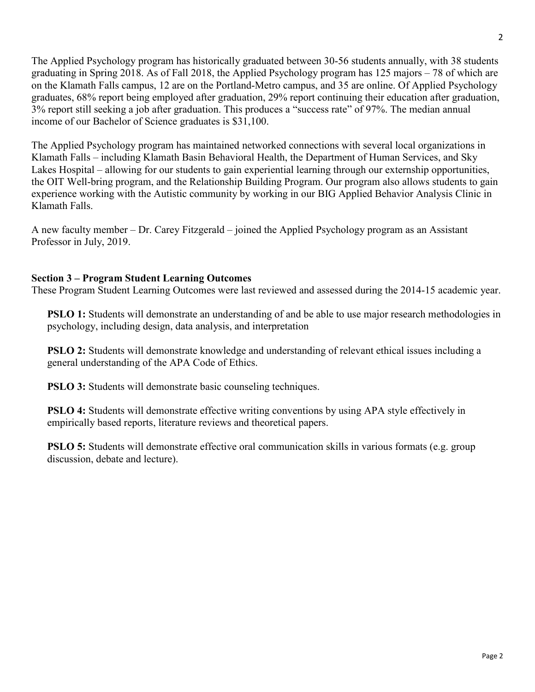The Applied Psychology program has historically graduated between 30-56 students annually, with 38 students graduating in Spring 2018. As of Fall 2018, the Applied Psychology program has 125 majors – 78 of which are on the Klamath Falls campus, 12 are on the Portland-Metro campus, and 35 are online. Of Applied Psychology graduates, 68% report being employed after graduation, 29% report continuing their education after graduation, 3% report still seeking a job after graduation. This produces a "success rate" of 97%. The median annual income of our Bachelor of Science graduates is \$31,100.

The Applied Psychology program has maintained networked connections with several local organizations in Klamath Falls – including Klamath Basin Behavioral Health, the Department of Human Services, and Sky Lakes Hospital – allowing for our students to gain experiential learning through our externship opportunities, the OIT Well-bring program, and the Relationship Building Program. Our program also allows students to gain experience working with the Autistic community by working in our BIG Applied Behavior Analysis Clinic in Klamath Falls.

A new faculty member – Dr. Carey Fitzgerald – joined the Applied Psychology program as an Assistant Professor in July, 2019.

## **Section 3 – Program Student Learning Outcomes**

These Program Student Learning Outcomes were last reviewed and assessed during the 2014-15 academic year.

**PSLO 1:** Students will demonstrate an understanding of and be able to use major research methodologies in psychology, including design, data analysis, and interpretation

**PSLO 2:** Students will demonstrate knowledge and understanding of relevant ethical issues including a general understanding of the APA Code of Ethics.

**PSLO 3:** Students will demonstrate basic counseling techniques.

**PSLO 4:** Students will demonstrate effective writing conventions by using APA style effectively in empirically based reports, literature reviews and theoretical papers.

**PSLO 5:** Students will demonstrate effective oral communication skills in various formats (e.g. group discussion, debate and lecture).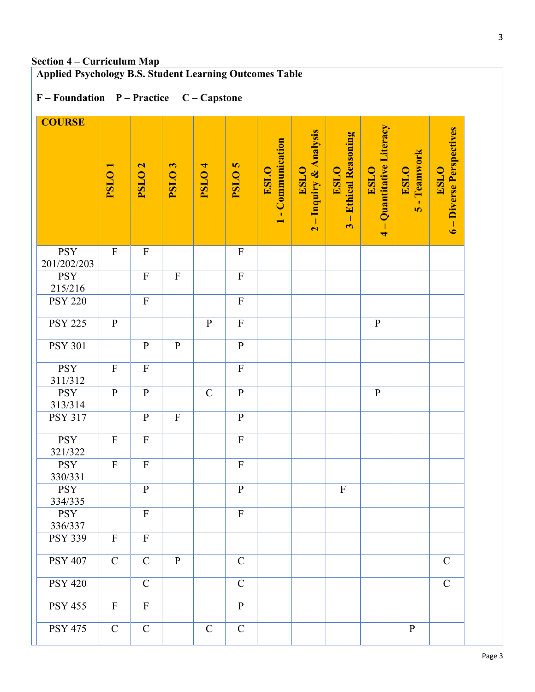# **Applied Psychology B.S. Student Learning Outcomes Table**

# **F – Foundation P – Practice C – Capstone**

| <b>COURSE</b>             |                           |                           |                           |                   |                         |                                                                          |                                                                                  |                                                                                    |                                                       |                                             |                                         |
|---------------------------|---------------------------|---------------------------|---------------------------|-------------------|-------------------------|--------------------------------------------------------------------------|----------------------------------------------------------------------------------|------------------------------------------------------------------------------------|-------------------------------------------------------|---------------------------------------------|-----------------------------------------|
|                           | PSLO <sub>1</sub>         | PSLO <sub>2</sub>         | PSLO <sub>3</sub>         | PSLO <sub>4</sub> | <b>PSLO<sub>5</sub></b> | Communication<br><b>ESLO</b><br>$\mathbf{I}$<br>$\overline{\phantom{0}}$ | <b>Inquiry &amp; Analysis</b><br><b>ESLO</b><br>$\mathbf I$<br>$\mathbf{\Omega}$ | <b>Ethical Reasoning</b><br>ESLO <sup>1</sup><br>$\mathbf{I}$<br>$\mathbf{\omega}$ | Quantitative Literacy<br><b>ESLO</b><br>$\frac{1}{4}$ | - Teamwork<br><b>ESLO</b><br>$\overline{S}$ | 6 - Diverse Perspectives<br><b>ESLO</b> |
| <b>PSY</b><br>201/202/203 | $\mathbf{F}$              | $\boldsymbol{\mathrm{F}}$ |                           |                   | $\mathbf F$             |                                                                          |                                                                                  |                                                                                    |                                                       |                                             |                                         |
| <b>PSY</b><br>215/216     |                           | $\boldsymbol{\mathrm{F}}$ | $\boldsymbol{\mathrm{F}}$ |                   | $\mathbf F$             |                                                                          |                                                                                  |                                                                                    |                                                       |                                             |                                         |
| <b>PSY 220</b>            |                           | $\overline{F}$            |                           |                   | $\mathbf F$             |                                                                          |                                                                                  |                                                                                    |                                                       |                                             |                                         |
| <b>PSY 225</b>            | $\mathbf{P}$              |                           |                           | ${\bf P}$         | $\mathbf F$             |                                                                          |                                                                                  |                                                                                    | ${\bf P}$                                             |                                             |                                         |
| <b>PSY 301</b>            |                           | $\mathbf{P}$              | $\, {\bf P}$              |                   | $\, {\bf P}$            |                                                                          |                                                                                  |                                                                                    |                                                       |                                             |                                         |
| <b>PSY</b><br>311/312     | $\boldsymbol{\mathrm{F}}$ | $\mathbf F$               |                           |                   | $\mathbf F$             |                                                                          |                                                                                  |                                                                                    |                                                       |                                             |                                         |
| <b>PSY</b><br>313/314     | ${\bf P}$                 | $\, {\bf P}$              |                           | $\mathcal{C}$     | $\mathbf{P}$            |                                                                          |                                                                                  |                                                                                    | ${\bf P}$                                             |                                             |                                         |
| <b>PSY 317</b>            |                           | $\, {\bf P}$              | ${\bf F}$                 |                   | $\, {\bf p}$            |                                                                          |                                                                                  |                                                                                    |                                                       |                                             |                                         |
| <b>PSY</b><br>321/322     | $\rm F$                   | $\boldsymbol{\mathrm{F}}$ |                           |                   | $\mathbf F$             |                                                                          |                                                                                  |                                                                                    |                                                       |                                             |                                         |
| <b>PSY</b><br>330/331     | $\rm F$                   | $\boldsymbol{\mathrm{F}}$ |                           |                   | $\rm F$                 |                                                                          |                                                                                  |                                                                                    |                                                       |                                             |                                         |
| <b>PSY</b><br>334/335     |                           | $\mathbf{P}$              |                           |                   | $\, {\bf p}$            |                                                                          |                                                                                  | $\mathbf F$                                                                        |                                                       |                                             |                                         |
| <b>PSY</b><br>336/337     |                           | $\overline{F}$            |                           |                   | $\mathbf F$             |                                                                          |                                                                                  |                                                                                    |                                                       |                                             |                                         |
| <b>PSY 339</b>            | $\boldsymbol{\mathrm{F}}$ | $\mathbf F$               |                           |                   |                         |                                                                          |                                                                                  |                                                                                    |                                                       |                                             |                                         |
| <b>PSY 407</b>            | $\mathbf C$               | $\mathcal{C}$             | ${\bf P}$                 |                   | $\mathbf C$             |                                                                          |                                                                                  |                                                                                    |                                                       |                                             | $\mathbf C$                             |
| <b>PSY 420</b>            |                           | $\mathbf C$               |                           |                   | $\mathbf C$             |                                                                          |                                                                                  |                                                                                    |                                                       |                                             | $\mathbf C$                             |
| <b>PSY 455</b>            | $\overline{\mathrm{F}}$   | $\overline{F}$            |                           |                   | $\overline{P}$          |                                                                          |                                                                                  |                                                                                    |                                                       |                                             |                                         |
| <b>PSY 475</b>            | $\mathbf C$               | $\mathbf C$               |                           | $\mathbf C$       | $\mathbf C$             |                                                                          |                                                                                  |                                                                                    |                                                       | $\mathbf{P}$                                |                                         |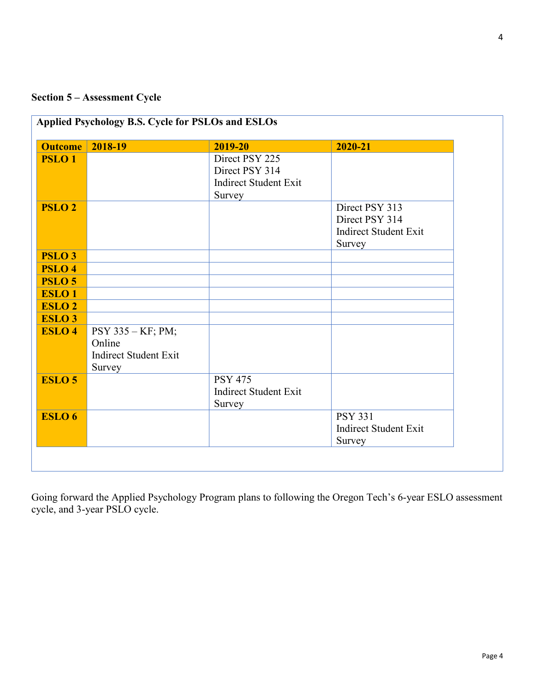# **Section 5 – Assessment Cycle**

|               | <b>Outcome</b> 2018-19       | 2019-20                      | 2020-21                      |
|---------------|------------------------------|------------------------------|------------------------------|
| <b>PSLO1</b>  |                              | Direct PSY 225               |                              |
|               |                              | Direct PSY 314               |                              |
|               |                              | <b>Indirect Student Exit</b> |                              |
|               |                              | Survey                       |                              |
| <b>PSLO 2</b> |                              |                              | Direct PSY 313               |
|               |                              |                              | Direct PSY 314               |
|               |                              |                              | <b>Indirect Student Exit</b> |
|               |                              |                              | Survey                       |
| <b>PSLO3</b>  |                              |                              |                              |
| <b>PSLO4</b>  |                              |                              |                              |
| <b>PSLO 5</b> |                              |                              |                              |
| <b>ESLO1</b>  |                              |                              |                              |
| <b>ESLO 2</b> |                              |                              |                              |
| <b>ESLO3</b>  |                              |                              |                              |
| <b>ESLO 4</b> | PSY 335 - KF; PM;            |                              |                              |
|               | Online                       |                              |                              |
|               | <b>Indirect Student Exit</b> |                              |                              |
|               | Survey                       |                              |                              |
| <b>ESLO 5</b> |                              | <b>PSY 475</b>               |                              |
|               |                              | <b>Indirect Student Exit</b> |                              |
|               |                              | Survey                       |                              |
| ESLO 6        |                              |                              | <b>PSY 331</b>               |
|               |                              |                              | <b>Indirect Student Exit</b> |
|               |                              |                              | Survey                       |

Going forward the Applied Psychology Program plans to following the Oregon Tech's 6-year ESLO assessment cycle, and 3-year PSLO cycle.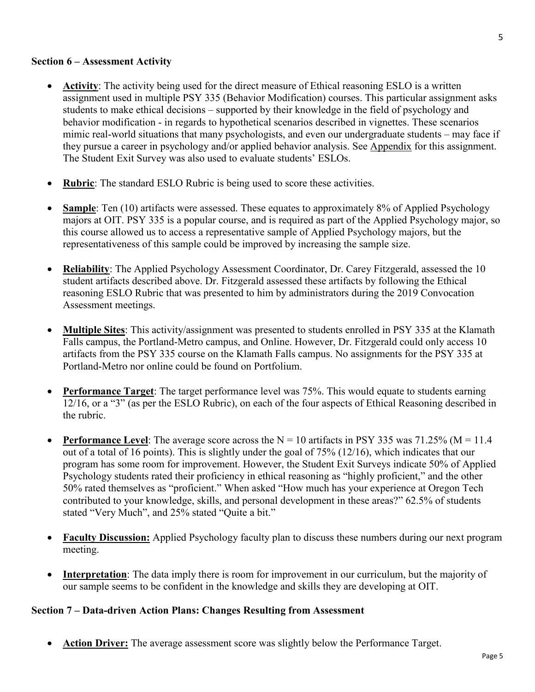#### **Section 6 – Assessment Activity**

- **Activity**: The activity being used for the direct measure of Ethical reasoning ESLO is a written assignment used in multiple PSY 335 (Behavior Modification) courses. This particular assignment asks students to make ethical decisions – supported by their knowledge in the field of psychology and behavior modification - in regards to hypothetical scenarios described in vignettes. These scenarios mimic real-world situations that many psychologists, and even our undergraduate students – may face if they pursue a career in psychology and/or applied behavior analysis. See Appendix for this assignment. The Student Exit Survey was also used to evaluate students' ESLOs.
- **Rubric:** The standard ESLO Rubric is being used to score these activities.
- **Sample**: Ten (10) artifacts were assessed. These equates to approximately 8% of Applied Psychology majors at OIT. PSY 335 is a popular course, and is required as part of the Applied Psychology major, so this course allowed us to access a representative sample of Applied Psychology majors, but the representativeness of this sample could be improved by increasing the sample size.
- **Reliability**: The Applied Psychology Assessment Coordinator, Dr. Carey Fitzgerald, assessed the 10 student artifacts described above. Dr. Fitzgerald assessed these artifacts by following the Ethical reasoning ESLO Rubric that was presented to him by administrators during the 2019 Convocation Assessment meetings.
- **Multiple Sites**: This activity/assignment was presented to students enrolled in PSY 335 at the Klamath Falls campus, the Portland-Metro campus, and Online. However, Dr. Fitzgerald could only access 10 artifacts from the PSY 335 course on the Klamath Falls campus. No assignments for the PSY 335 at Portland-Metro nor online could be found on Portfolium.
- **Performance Target**: The target performance level was 75%. This would equate to students earning 12/16, or a "3" (as per the ESLO Rubric), on each of the four aspects of Ethical Reasoning described in the rubric.
- **Performance Level:** The average score across the  $N = 10$  artifacts in PSY 335 was 71.25% ( $M = 11.4$ ) out of a total of 16 points). This is slightly under the goal of 75% (12/16), which indicates that our program has some room for improvement. However, the Student Exit Surveys indicate 50% of Applied Psychology students rated their proficiency in ethical reasoning as "highly proficient," and the other 50% rated themselves as "proficient." When asked "How much has your experience at Oregon Tech contributed to your knowledge, skills, and personal development in these areas?" 62.5% of students stated "Very Much", and 25% stated "Quite a bit."
- **Faculty Discussion:** Applied Psychology faculty plan to discuss these numbers during our next program meeting.
- **Interpretation**: The data imply there is room for improvement in our curriculum, but the majority of our sample seems to be confident in the knowledge and skills they are developing at OIT.

### **Section 7 – Data-driven Action Plans: Changes Resulting from Assessment**

Action Driver: The average assessment score was slightly below the Performance Target.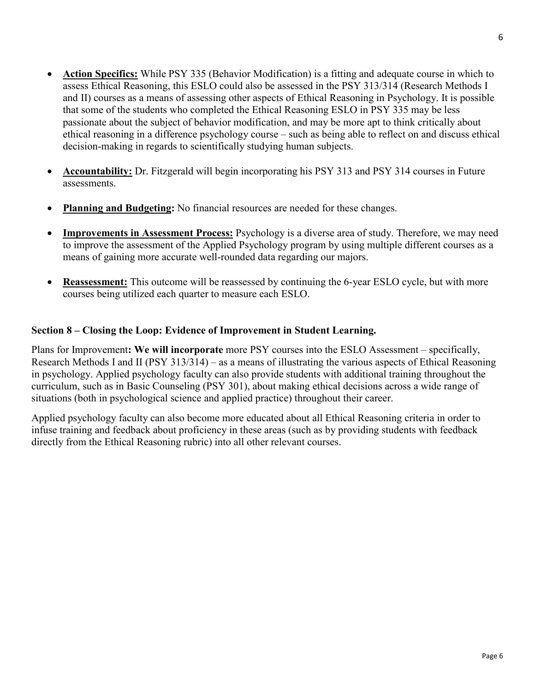- **Action Specifics:** While PSY 335 (Behavior Modification) is a fitting and adequate course in which to assess Ethical Reasoning, this ESLO could also be assessed in the PSY 313/314 (Research Methods I and II) courses as a means of assessing other aspects of Ethical Reasoning in Psychology. It is possible that some of the students who completed the Ethical Reasoning ESLO in PSY 335 may be less passionate about the subject of behavior modification, and may be more apt to think critically about ethical reasoning in a difference psychology course – such as being able to reflect on and discuss ethical decision-making in regards to scientifically studying human subjects.
- **Accountability:** Dr. Fitzgerald will begin incorporating his PSY 313 and PSY 314 courses in Future assessments.
- **Planning and Budgeting:** No financial resources are needed for these changes.
- **Improvements in Assessment Process:** Psychology is a diverse area of study. Therefore, we may need to improve the assessment of the Applied Psychology program by using multiple different courses as a means of gaining more accurate well-rounded data regarding our majors.
- **Reassessment:** This outcome will be reassessed by continuing the 6-year ESLO cycle, but with more courses being utilized each quarter to measure each ESLO.

## **Section 8 – Closing the Loop: Evidence of Improvement in Student Learning.**

Plans for Improvement**: We will incorporate** more PSY courses into the ESLO Assessment – specifically, Research Methods I and II (PSY 313/314) – as a means of illustrating the various aspects of Ethical Reasoning in psychology. Applied psychology faculty can also provide students with additional training throughout the curriculum, such as in Basic Counseling (PSY 301), about making ethical decisions across a wide range of situations (both in psychological science and applied practice) throughout their career.

Applied psychology faculty can also become more educated about all Ethical Reasoning criteria in order to infuse training and feedback about proficiency in these areas (such as by providing students with feedback directly from the Ethical Reasoning rubric) into all other relevant courses.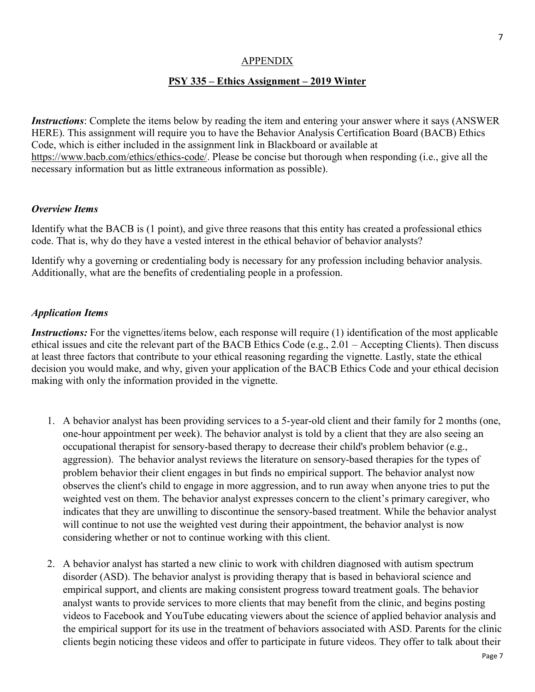#### APPENDIX

#### **PSY 335 – Ethics Assignment – 2019 Winter**

*Instructions*: Complete the items below by reading the item and entering your answer where it says (ANSWER HERE). This assignment will require you to have the Behavior Analysis Certification Board (BACB) Ethics Code, which is either included in the assignment link in Blackboard or available at [https://www.bacb.com/ethics/ethics-code/.](https://www.bacb.com/ethics/ethics-code/) Please be concise but thorough when responding (i.e., give all the necessary information but as little extraneous information as possible).

#### *Overview Items*

Identify what the BACB is (1 point), and give three reasons that this entity has created a professional ethics code. That is, why do they have a vested interest in the ethical behavior of behavior analysts?

Identify why a governing or credentialing body is necessary for any profession including behavior analysis. Additionally, what are the benefits of credentialing people in a profession.

#### *Application Items*

*Instructions:* For the vignettes/items below, each response will require (1) identification of the most applicable ethical issues and cite the relevant part of the BACB Ethics Code (e.g., 2.01 – Accepting Clients). Then discuss at least three factors that contribute to your ethical reasoning regarding the vignette. Lastly, state the ethical decision you would make, and why, given your application of the BACB Ethics Code and your ethical decision making with only the information provided in the vignette.

- 1. A behavior analyst has been providing services to a 5-year-old client and their family for 2 months (one, one-hour appointment per week). The behavior analyst is told by a client that they are also seeing an occupational therapist for sensory-based therapy to decrease their child's problem behavior (e.g., aggression). The behavior analyst reviews the literature on sensory-based therapies for the types of problem behavior their client engages in but finds no empirical support. The behavior analyst now observes the client's child to engage in more aggression, and to run away when anyone tries to put the weighted vest on them. The behavior analyst expresses concern to the client's primary caregiver, who indicates that they are unwilling to discontinue the sensory-based treatment. While the behavior analyst will continue to not use the weighted vest during their appointment, the behavior analyst is now considering whether or not to continue working with this client.
- 2. A behavior analyst has started a new clinic to work with children diagnosed with autism spectrum disorder (ASD). The behavior analyst is providing therapy that is based in behavioral science and empirical support, and clients are making consistent progress toward treatment goals. The behavior analyst wants to provide services to more clients that may benefit from the clinic, and begins posting videos to Facebook and YouTube educating viewers about the science of applied behavior analysis and the empirical support for its use in the treatment of behaviors associated with ASD. Parents for the clinic clients begin noticing these videos and offer to participate in future videos. They offer to talk about their